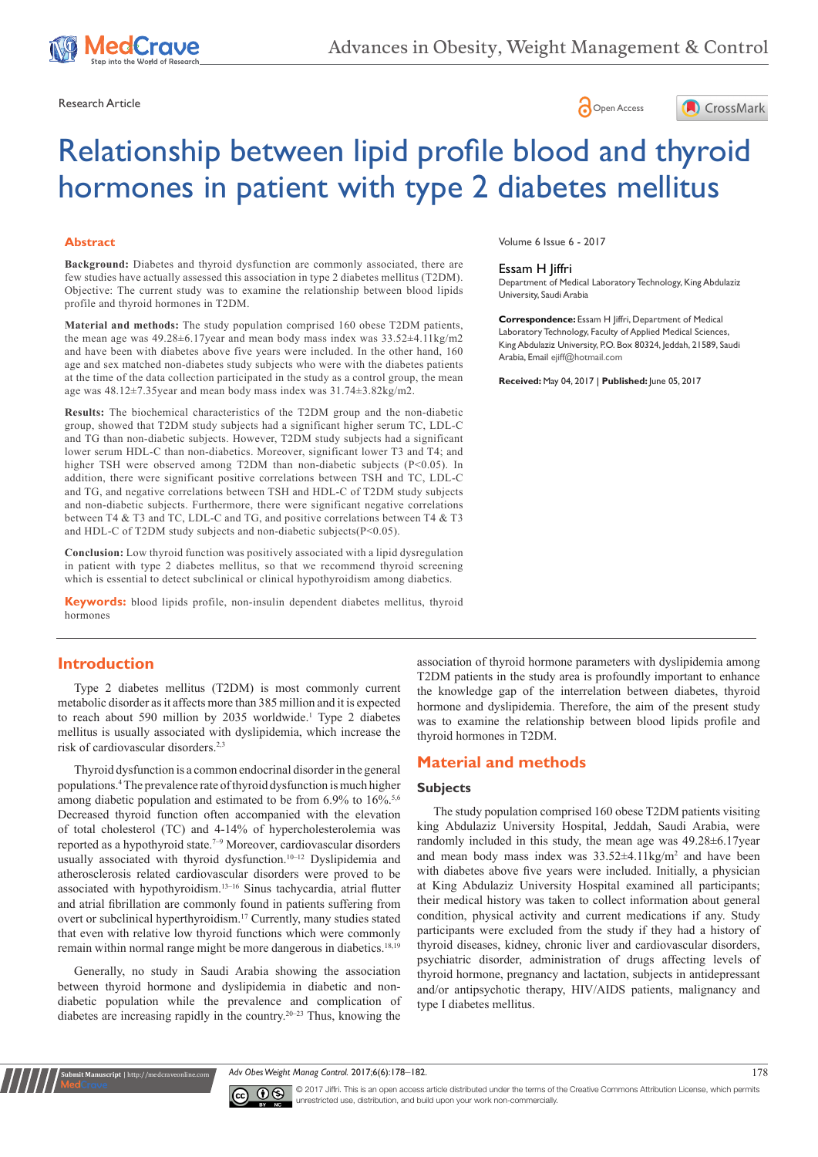





# Relationship between lipid profile blood and thyroid hormones in patient with type 2 diabetes mellitus

## **Abstract**

**Background:** Diabetes and thyroid dysfunction are commonly associated, there are few studies have actually assessed this association in type 2 diabetes mellitus (T2DM). Objective: The current study was to examine the relationship between blood lipids profile and thyroid hormones in T2DM.

**Material and methods:** The study population comprised 160 obese T2DM patients, the mean age was 49.28±6.17year and mean body mass index was 33.52±4.11kg/m2 and have been with diabetes above five years were included. In the other hand, 160 age and sex matched non-diabetes study subjects who were with the diabetes patients at the time of the data collection participated in the study as a control group, the mean age was  $48.12\pm7.35$  year and mean body mass index was  $31.74\pm3.82$  kg/m2.

**Results:** The biochemical characteristics of the T2DM group and the non-diabetic group, showed that T2DM study subjects had a significant higher serum TC, LDL-C and TG than non-diabetic subjects. However, T2DM study subjects had a significant lower serum HDL-C than non-diabetics. Moreover, significant lower T3 and T4; and higher TSH were observed among T2DM than non-diabetic subjects (P<0.05). In addition, there were significant positive correlations between TSH and TC, LDL-C and TG, and negative correlations between TSH and HDL-C of T2DM study subjects and non-diabetic subjects. Furthermore, there were significant negative correlations between T4 & T3 and TC, LDL-C and TG, and positive correlations between T4 & T3 and HDL-C of T2DM study subjects and non-diabetic subjects(P<0.05).

**Conclusion:** Low thyroid function was positively associated with a lipid dysregulation in patient with type 2 diabetes mellitus, so that we recommend thyroid screening which is essential to detect subclinical or clinical hypothyroidism among diabetics.

**Keywords:** blood lipids profile, non-insulin dependent diabetes mellitus, thyroid hormones

#### Volume 6 Issue 6 - 2017

#### Essam H Jiffri

Department of Medical Laboratory Technology, King Abdulaziz University, Saudi Arabia

**Correspondence:** Essam H Jiffri, Department of Medical Laboratory Technology, Faculty of Applied Medical Sciences, King Abdulaziz University, P.O. Box 80324, Jeddah, 21589, Saudi Arabia, Email ejiff@hotmail.com

**Received:** May 04, 2017 | **Published:** June 05, 2017

# **Introduction**

Type 2 diabetes mellitus (T2DM) is most commonly current metabolic disorder as it affects more than 385 million and it is expected to reach about 590 million by 2035 worldwide.<sup>1</sup> Type 2 diabetes mellitus is usually associated with dyslipidemia, which increase the risk of cardiovascular disorders.2,3

Thyroid dysfunction is a common endocrinal disorder in the general populations.4 The prevalence rate of thyroid dysfunction is much higher among diabetic population and estimated to be from 6.9% to 16%.<sup>5,6</sup> Decreased thyroid function often accompanied with the elevation of total cholesterol (TC) and 4-14% of hypercholesterolemia was reported as a hypothyroid state.7–9 Moreover, cardiovascular disorders usually associated with thyroid dysfunction.<sup>10-12</sup> Dyslipidemia and atherosclerosis related cardiovascular disorders were proved to be associated with hypothyroidism.13–16 Sinus tachycardia, atrial flutter and atrial fibrillation are commonly found in patients suffering from overt or subclinical hyperthyroidism.17 Currently, many studies stated that even with relative low thyroid functions which were commonly remain within normal range might be more dangerous in diabetics.18,19

Generally, no study in Saudi Arabia showing the association between thyroid hormone and dyslipidemia in diabetic and nondiabetic population while the prevalence and complication of diabetes are increasing rapidly in the country.20–23 Thus, knowing the

**it Manuscript** | http://medcraveonline.

association of thyroid hormone parameters with dyslipidemia among T2DM patients in the study area is profoundly important to enhance the knowledge gap of the interrelation between diabetes, thyroid hormone and dyslipidemia. Therefore, the aim of the present study was to examine the relationship between blood lipids profile and thyroid hormones in T2DM.

# **Material and methods**

#### **Subjects**

The study population comprised 160 obese T2DM patients visiting king Abdulaziz University Hospital, Jeddah, Saudi Arabia, were randomly included in this study, the mean age was 49.28±6.17year and mean body mass index was  $33.52 \pm 4.11$  kg/m<sup>2</sup> and have been with diabetes above five years were included. Initially, a physician at King Abdulaziz University Hospital examined all participants; their medical history was taken to collect information about general condition, physical activity and current medications if any. Study participants were excluded from the study if they had a history of thyroid diseases, kidney, chronic liver and cardiovascular disorders, psychiatric disorder, administration of drugs affecting levels of thyroid hormone, pregnancy and lactation, subjects in antidepressant and/or antipsychotic therapy, HIV/AIDS patients, malignancy and type I diabetes mellitus.

*Adv Obes Weight Manag Control.* 2017;6(6):178‒182. 178



© 2017 Jiffri. This is an open access article distributed under the terms of the [Creative Commons Attribution License,](https://creativecommons.org/licenses/by-nc/4.0/) which permits unrestricted use, distribution, and build upon your work non-commercially.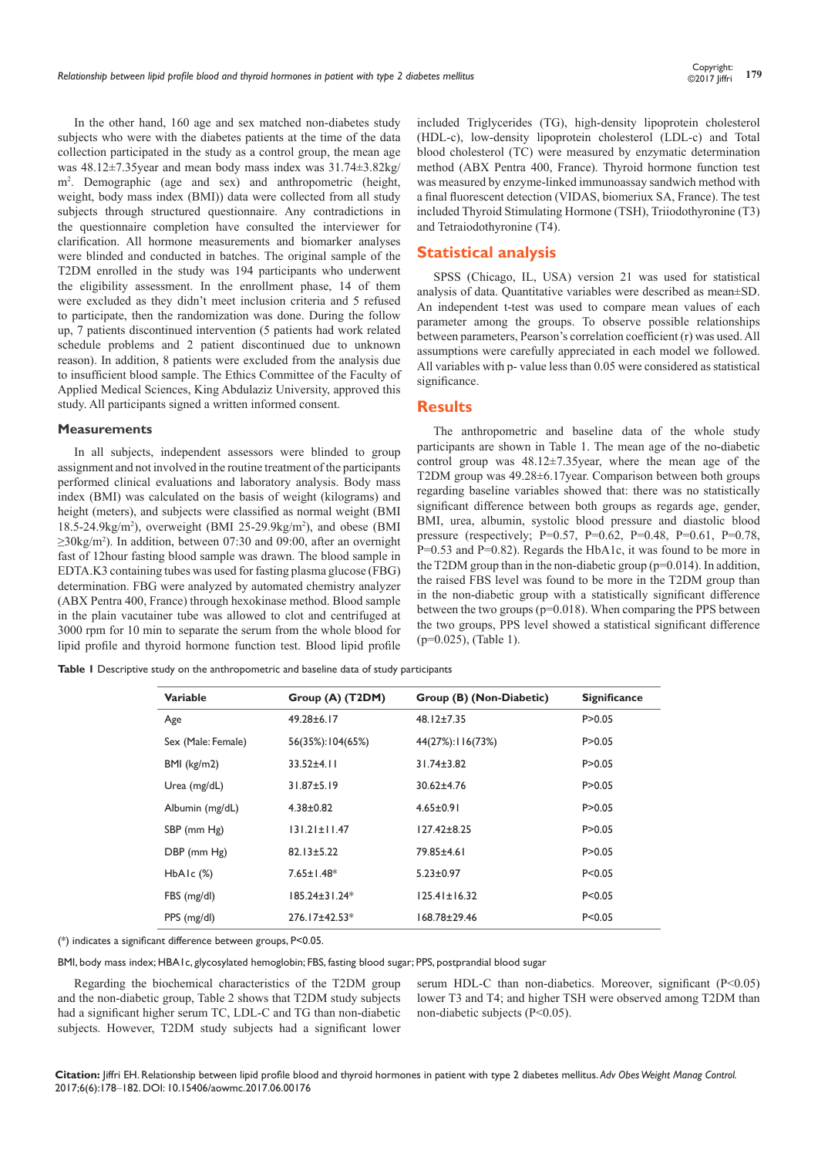In the other hand, 160 age and sex matched non-diabetes study subjects who were with the diabetes patients at the time of the data collection participated in the study as a control group, the mean age was 48.12±7.35year and mean body mass index was 31.74±3.82kg/ m2 . Demographic (age and sex) and anthropometric (height, weight, body mass index (BMI)) data were collected from all study subjects through structured questionnaire. Any contradictions in the questionnaire completion have consulted the interviewer for clarification. All hormone measurements and biomarker analyses were blinded and conducted in batches. The original sample of the T2DM enrolled in the study was 194 participants who underwent the eligibility assessment. In the enrollment phase, 14 of them were excluded as they didn't meet inclusion criteria and 5 refused to participate, then the randomization was done. During the follow up, 7 patients discontinued intervention (5 patients had work related schedule problems and 2 patient discontinued due to unknown reason). In addition, 8 patients were excluded from the analysis due to insufficient blood sample. The Ethics Committee of the Faculty of Applied Medical Sciences, King Abdulaziz University, approved this study. All participants signed a written informed consent.

#### **Measurements**

In all subjects, independent assessors were blinded to group assignment and not involved in the routine treatment of the participants performed clinical evaluations and laboratory analysis. Body mass index (BMI) was calculated on the basis of weight (kilograms) and height (meters), and subjects were classified as normal weight (BMI 18.5-24.9kg/m2 ), overweight (BMI 25-29.9kg/m<sup>2</sup> ), and obese (BMI ≥30kg/m<sup>2</sup> ). In addition, between 07:30 and 09:00, after an overnight fast of 12hour fasting blood sample was drawn. The blood sample in EDTA.K3 containing tubes was used for fasting plasma glucose (FBG) determination. FBG were analyzed by automated chemistry analyzer (ABX Pentra 400, France) through hexokinase method. Blood sample in the plain vacutainer tube was allowed to clot and centrifuged at 3000 rpm for 10 min to separate the serum from the whole blood for lipid profile and thyroid hormone function test. Blood lipid profile included Triglycerides (TG), high-density lipoprotein cholesterol (HDL-c), low-density lipoprotein cholesterol (LDL-c) and Total blood cholesterol (TC) were measured by enzymatic determination method (ABX Pentra 400, France). Thyroid hormone function test was measured by enzyme-linked immunoassay sandwich method with a final fluorescent detection (VIDAS, biomeriux SA, France). The test included Thyroid Stimulating Hormone (TSH), Triiodothyronine (T3) and Tetraiodothyronine (T4).

## **Statistical analysis**

SPSS (Chicago, IL, USA) version 21 was used for statistical analysis of data. Quantitative variables were described as mean±SD. An independent t-test was used to compare mean values of each parameter among the groups. To observe possible relationships between parameters, Pearson's correlation coefficient (r) was used. All assumptions were carefully appreciated in each model we followed. All variables with p- value less than 0.05 were considered as statistical significance.

#### **Results**

The anthropometric and baseline data of the whole study participants are shown in Table 1. The mean age of the no-diabetic control group was 48.12±7.35year, where the mean age of the T2DM group was 49.28±6.17year. Comparison between both groups regarding baseline variables showed that: there was no statistically significant difference between both groups as regards age, gender, BMI, urea, albumin, systolic blood pressure and diastolic blood pressure (respectively; P=0.57, P=0.62, P=0.48, P=0.61, P=0.78, P=0.53 and P=0.82). Regards the HbA1c, it was found to be more in the T2DM group than in the non-diabetic group  $(p=0.014)$ . In addition, the raised FBS level was found to be more in the T2DM group than in the non-diabetic group with a statistically significant difference between the two groups (p=0.018). When comparing the PPS between the two groups, PPS level showed a statistical significant difference (p=0.025), (Table 1).

**Table 1** Descriptive study on the anthropometric and baseline data of study participants

| <b>Variable</b>    | Group (A) (T2DM)    | Group (B) (Non-Diabetic) | <b>Significance</b> |  |
|--------------------|---------------------|--------------------------|---------------------|--|
| Age                | $49.28 \pm 6.17$    | $48.12 \pm 7.35$         | P > 0.05            |  |
| Sex (Male: Female) | 56(35%):104(65%)    | 44(27%): 116(73%)        | P > 0.05            |  |
| $BMI$ (kg/m2)      | $33.52 \pm 4.11$    | $31.74 \pm 3.82$         | P > 0.05            |  |
| Urea (mg/dL)       | $31.87 \pm 5.19$    | $30.62 \pm 4.76$         | P > 0.05            |  |
| Albumin (mg/dL)    | $4.38 \pm 0.82$     | $4.65 \pm 0.91$          | P > 0.05            |  |
| SBP (mm Hg)        | $131.21 \pm 11.47$  | $127.42 \pm 8.25$        | P > 0.05            |  |
| DBP (mm Hg)        | $82.13 \pm 5.22$    | 79.85±4.61               | P > 0.05            |  |
| $HbA1c$ $(\%)$     | $7.65 \pm 1.48^*$   | $5.23 \pm 0.97$          | P < 0.05            |  |
| FBS (mg/dl)        | $185.24 \pm 31.24*$ | $125.41 \pm 16.32$       | P < 0.05            |  |
| PPS (mg/dl)        | 276.17±42.53*       | $168.78 \pm 29.46$       | P < 0.05            |  |
|                    |                     |                          |                     |  |

(\*) indicates a significant difference between groups, P<0.05.

BMI, body mass index; HBA1c, glycosylated hemoglobin; FBS, fasting blood sugar; PPS, postprandial blood sugar

Regarding the biochemical characteristics of the T2DM group and the non-diabetic group, Table 2 shows that T2DM study subjects had a significant higher serum TC, LDL-C and TG than non-diabetic subjects. However, T2DM study subjects had a significant lower

serum HDL-C than non-diabetics. Moreover, significant (P<0.05) lower T3 and T4; and higher TSH were observed among T2DM than non-diabetic subjects (P<0.05).

**Citation:** Jiffri EH. Relationship between lipid profile blood and thyroid hormones in patient with type 2 diabetes mellitus. *Adv Obes Weight Manag Control.* 2017;6(6):178‒182. DOI: [10.15406/aowmc.2017.06.00176](https://doi.org/10.15406/aowmc.2017.06.00176)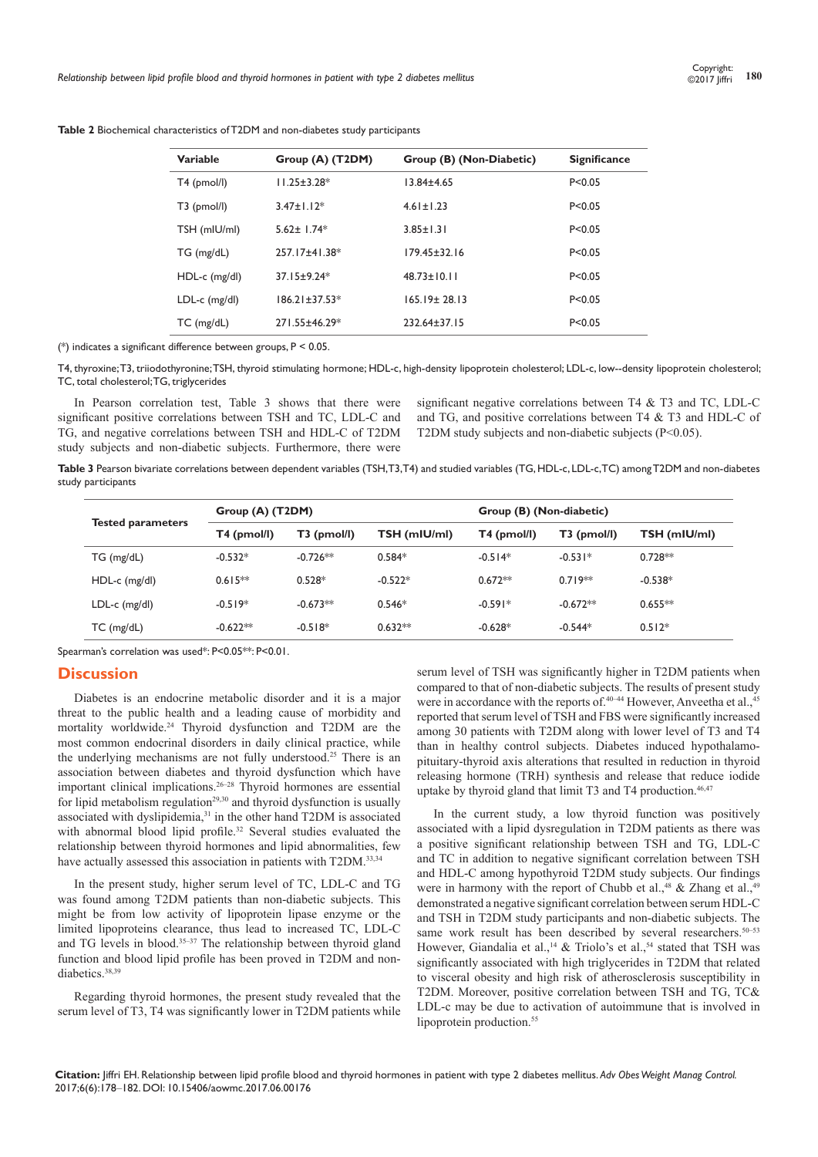| <b>Variable</b> | Group (A) (T2DM)    | Group (B) (Non-Diabetic) | <b>Significance</b> |
|-----------------|---------------------|--------------------------|---------------------|
| T4 (pmol/l)     | $11.25 \pm 3.28^*$  | $13.84 \pm 4.65$         | P < 0.05            |
| $T3$ (pmol/l)   | $3.47 + 1.12*$      | $4.61 \pm 1.23$          | P < 0.05            |
| TSH (mIU/ml)    | $5.62 \pm 1.74*$    | $3.85 \pm 1.31$          | P < 0.05            |
| $TG$ (mg/dL)    | 257.17±41.38*       | 179.45±32.16             | P < 0.05            |
| $HDL-c$ (mg/dl) | $3715+9.24*$        | $48.73 + 10.11$          | P < 0.05            |
| $LDL-c$ (mg/dl) | $186.21 \pm 37.53*$ | $165.19 \pm 28.13$       | P < 0.05            |
| $TC$ (mg/dL)    | 271.55±46.29*       | $232.64 \pm 37.15$       | P < 0.05            |

**Table 2** Biochemical characteristics of T2DM and non-diabetes study participants

(\*) indicates a significant difference between groups, P < 0.05.

T4, thyroxine; T3, triiodothyronine; TSH, thyroid stimulating hormone; HDL-c, high-density lipoprotein cholesterol; LDL-c, low--density lipoprotein cholesterol; TC, total cholesterol; TG, triglycerides

In Pearson correlation test, Table 3 shows that there were significant positive correlations between TSH and TC, LDL-C and TG, and negative correlations between TSH and HDL-C of T2DM study subjects and non-diabetic subjects. Furthermore, there were

significant negative correlations between T4 & T3 and TC, LDL-C and TG, and positive correlations between T4 & T3 and HDL-C of T2DM study subjects and non-diabetic subjects (P<0.05).

**Table 3** Pearson bivariate correlations between dependent variables (TSH, T3, T4) and studied variables (TG, HDL-c, LDL-c, TC) among T2DM and non-diabetes study participants

| <b>Tested parameters</b> | Group (A) (T2DM) |             |              | Group (B) (Non-diabetic) |               |              |
|--------------------------|------------------|-------------|--------------|--------------------------|---------------|--------------|
|                          | T4 (pmol/l)      | T3 (pmol/l) | TSH (mIU/ml) | T4 (pmol/l)              | $T3$ (pmol/l) | TSH (mIU/ml) |
| TG (mg/dL)               | $-0.532*$        | $-0.726**$  | $0.584*$     | $-0.514*$                | $-0.531*$     | $0.728**$    |
| $HDL-c$ (mg/dl)          | $0.615**$        | $0.528*$    | $-0.522*$    | $0.672**$                | $0.719**$     | $-0.538*$    |
| $LDL-c$ (mg/dl)          | $-0.519*$        | $-0.673**$  | $0.546*$     | $-0.591*$                | $-0.672**$    | $0.655**$    |
| $TC$ (mg/dL)             | $-0.622**$       | $-0.518*$   | $0.632**$    | $-0.628*$                | $-0.544*$     | $0.512*$     |

Spearman's correlation was used\*: P<0.05\*\*: P<0.01.

# **Discussion**

Diabetes is an endocrine metabolic disorder and it is a major threat to the public health and a leading cause of morbidity and mortality worldwide.<sup>24</sup> Thyroid dysfunction and T2DM are the most common endocrinal disorders in daily clinical practice, while the underlying mechanisms are not fully understood.<sup>25</sup> There is an association between diabetes and thyroid dysfunction which have important clinical implications.26–28 Thyroid hormones are essential for lipid metabolism regulation<sup>29,30</sup> and thyroid dysfunction is usually associated with dyslipidemia,<sup>31</sup> in the other hand T2DM is associated with abnormal blood lipid profile.<sup>32</sup> Several studies evaluated the relationship between thyroid hormones and lipid abnormalities, few have actually assessed this association in patients with T2DM.<sup>33,34</sup>

In the present study, higher serum level of TC, LDL-C and TG was found among T2DM patients than non-diabetic subjects. This might be from low activity of lipoprotein lipase enzyme or the limited lipoproteins clearance, thus lead to increased TC, LDL-C and TG levels in blood.35–37 The relationship between thyroid gland function and blood lipid profile has been proved in T2DM and nondiabetics.38,39

Regarding thyroid hormones, the present study revealed that the serum level of T3, T4 was significantly lower in T2DM patients while

serum level of TSH was significantly higher in T2DM patients when compared to that of non-diabetic subjects. The results of present study were in accordance with the reports of. $40-44$  However, Anveetha et al., $45$ reported that serum level of TSH and FBS were significantly increased among 30 patients with T2DM along with lower level of T3 and T4 than in healthy control subjects. Diabetes induced hypothalamopituitary-thyroid axis alterations that resulted in reduction in thyroid releasing hormone (TRH) synthesis and release that reduce iodide uptake by thyroid gland that limit  $T3$  and  $T4$  production.<sup>46,47</sup>

In the current study, a low thyroid function was positively associated with a lipid dysregulation in T2DM patients as there was a positive significant relationship between TSH and TG, LDL-C and TC in addition to negative significant correlation between TSH and HDL-C among hypothyroid T2DM study subjects. Our findings were in harmony with the report of Chubb et al.,<sup>48</sup> & Zhang et al.,<sup>49</sup> demonstrated a negative significant correlation between serum HDL-C and TSH in T2DM study participants and non-diabetic subjects. The same work result has been described by several researchers.<sup>50-53</sup> However, Giandalia et al.,<sup>14</sup> & Triolo's et al.,<sup>54</sup> stated that TSH was significantly associated with high triglycerides in T2DM that related to visceral obesity and high risk of atherosclerosis susceptibility in T2DM. Moreover, positive correlation between TSH and TG, TC& LDL-c may be due to activation of autoimmune that is involved in lipoprotein production.<sup>55</sup>

**Citation:** Jiffri EH. Relationship between lipid profile blood and thyroid hormones in patient with type 2 diabetes mellitus. *Adv Obes Weight Manag Control.* 2017;6(6):178‒182. DOI: [10.15406/aowmc.2017.06.00176](https://doi.org/10.15406/aowmc.2017.06.00176)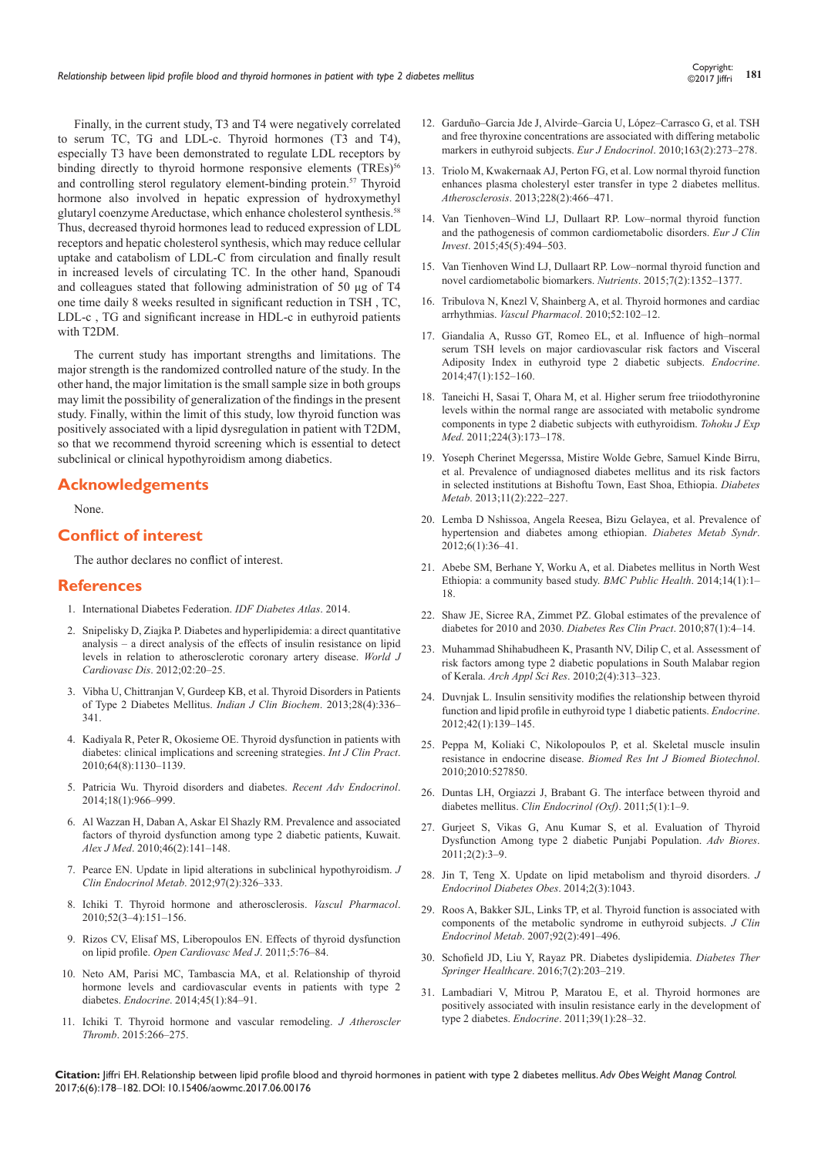$@2017$  liffri

Finally, in the current study, T3 and T4 were negatively correlated to serum TC, TG and LDL-c. Thyroid hormones (T3 and T4), especially T3 have been demonstrated to regulate LDL receptors by binding directly to thyroid hormone responsive elements (TREs)<sup>56</sup> and controlling sterol regulatory element-binding protein.<sup>57</sup> Thyroid hormone also involved in hepatic expression of hydroxymethyl glutaryl coenzyme Areductase, which enhance cholesterol synthesis.58 Thus, decreased thyroid hormones lead to reduced expression of LDL receptors and hepatic cholesterol synthesis, which may reduce cellular uptake and catabolism of LDL-C from circulation and finally result in increased levels of circulating TC. In the other hand, Spanoudi and colleagues stated that following administration of 50 μg of T4 one time daily 8 weeks resulted in significant reduction in TSH , TC, LDL-c , TG and significant increase in HDL-c in euthyroid patients with T2DM.

The current study has important strengths and limitations. The major strength is the randomized controlled nature of the study. In the other hand, the major limitation is the small sample size in both groups may limit the possibility of generalization of the findings in the present study. Finally, within the limit of this study, low thyroid function was positively associated with a lipid dysregulation in patient with T2DM, so that we recommend thyroid screening which is essential to detect subclinical or clinical hypothyroidism among diabetics.

## **Acknowledgements**

None.

# **Conflict of interest**

The author declares no conflict of interest.

#### **References**

- 1. [International Diabetes Federation.](http://www.diabetesatlas.org/) *IDF Diabetes Atlas*. 2014.
- 2. [Snipelisky D, Ziajka P. Diabetes and hyperlipidemia: a direct quantitative](http://file.scirp.org/pdf/WJCD20120100003_64457680.pdf)  [analysis – a direct analysis of the effects of insulin resistance on lipid](http://file.scirp.org/pdf/WJCD20120100003_64457680.pdf)  [levels in relation to atherosclerotic coronary artery disease.](http://file.scirp.org/pdf/WJCD20120100003_64457680.pdf) *World J Cardiovasc Dis*[. 2012;02:20–25.](http://file.scirp.org/pdf/WJCD20120100003_64457680.pdf)
- 3. [Vibha U, Chittranjan V, Gurdeep KB, et al. Thyroid Disorders in Patients](https://www.ncbi.nlm.nih.gov/pubmed/24426234/)  [of Type 2 Diabetes Mellitus.](https://www.ncbi.nlm.nih.gov/pubmed/24426234/) *Indian J Clin Biochem*. 2013;28(4):336– [341.](https://www.ncbi.nlm.nih.gov/pubmed/24426234/)
- 4. [Kadiyala R, Peter R, Okosieme OE. Thyroid dysfunction in patients with](https://www.ncbi.nlm.nih.gov/pubmed/20642711)  [diabetes: clinical implications and screening strategies.](https://www.ncbi.nlm.nih.gov/pubmed/20642711) *Int J Clin Pract*. [2010;64\(8\):1130–1139.](https://www.ncbi.nlm.nih.gov/pubmed/20642711)
- 5. [Patricia Wu. Thyroid disorders and diabetes.](http://journal.diabetes.org/clinicaldiabetes/v18n12000/pg38.htm) *Recent Adv Endocrinol*. [2014;18\(1\):966–999.](http://journal.diabetes.org/clinicaldiabetes/v18n12000/pg38.htm)
- 6. Al Wazzan H, Daban A, Askar El Shazly RM. Prevalence and associated factors of thyroid dysfunction among type 2 diabetic patients, Kuwait. *Alex J Med*. 2010;46(2):141–148.
- 7. [Pearce EN. Update in lipid alterations in subclinical hypothyroidism.](https://www.ncbi.nlm.nih.gov/pubmed/22205712) *J [Clin Endocrinol Metab](https://www.ncbi.nlm.nih.gov/pubmed/22205712)*. 2012;97(2):326–333.
- 8. [Ichiki T. Thyroid hormone and atherosclerosis.](https://www.ncbi.nlm.nih.gov/pubmed/19808101) *Vascul Pharmacol*. [2010;52\(3–4\):151–156.](https://www.ncbi.nlm.nih.gov/pubmed/19808101)
- 9. [Rizos CV, Elisaf MS, Liberopoulos EN. Effects of thyroid dysfunction](https://www.ncbi.nlm.nih.gov/pubmed/21660244/)  on lipid profile. *[Open Cardiovasc Med J](https://www.ncbi.nlm.nih.gov/pubmed/21660244/)*. 2011;5:76–84.
- 10. [Neto AM, Parisi MC, Tambascia MA, et al. Relationship of thyroid](https://www.ncbi.nlm.nih.gov/pubmed/23546612)  [hormone levels and cardiovascular events in patients with type 2](https://www.ncbi.nlm.nih.gov/pubmed/23546612)  diabetes. *Endocrine*[. 2014;45\(1\):84–91.](https://www.ncbi.nlm.nih.gov/pubmed/23546612)
- 11. [Ichiki T. Thyroid hormone and vascular remodeling.](https://www.ncbi.nlm.nih.gov/pubmed/26558400) *J Atheroscler Thromb*[. 2015:266–275.](https://www.ncbi.nlm.nih.gov/pubmed/26558400)
- [and free thyroxine concentrations are associated with differing metabolic](https://www.ncbi.nlm.nih.gov/pubmed/20516204)  [markers in euthyroid subjects.](https://www.ncbi.nlm.nih.gov/pubmed/20516204) *Eur J Endocrinol*. 2010;163(2):273–278. 13. [Triolo M, Kwakernaak AJ, Perton FG, et al. Low normal thyroid function](https://www.ncbi.nlm.nih.gov/pubmed/23591416)
- [enhances plasma cholesteryl ester transfer in type 2 diabetes mellitus.](https://www.ncbi.nlm.nih.gov/pubmed/23591416)  *Atherosclerosis*[. 2013;228\(2\):466–471.](https://www.ncbi.nlm.nih.gov/pubmed/23591416)
- 14. [Van Tienhoven–Wind LJ, Dullaart RP. Low–normal thyroid function](https://www.ncbi.nlm.nih.gov/pubmed/25690560)  [and the pathogenesis of common cardiometabolic disorders.](https://www.ncbi.nlm.nih.gov/pubmed/25690560) *Eur J Clin Invest*[. 2015;45\(5\):494–503.](https://www.ncbi.nlm.nih.gov/pubmed/25690560)
- 15. [Van Tienhoven Wind LJ, Dullaart RP. Low–normal thyroid function and](https://www.ncbi.nlm.nih.gov/pubmed/25690422/)  [novel cardiometabolic biomarkers.](https://www.ncbi.nlm.nih.gov/pubmed/25690422/) *Nutrients*. 2015;7(2):1352–1377.
- 16. [Tribulova N, Knezl V, Shainberg A, et al. Thyroid hormones and cardiac](https://www.ncbi.nlm.nih.gov/pubmed/19850152)  arrhythmias. *Vascul Pharmacol*[. 2010;52:102–12.](https://www.ncbi.nlm.nih.gov/pubmed/19850152)
- 17. [Giandalia A, Russo GT, Romeo EL, et al. Influence of high–normal](https://www.ncbi.nlm.nih.gov/pubmed/24385267)  [serum TSH levels on major cardiovascular risk factors and Visceral](https://www.ncbi.nlm.nih.gov/pubmed/24385267)  [Adiposity Index in euthyroid type 2 diabetic subjects.](https://www.ncbi.nlm.nih.gov/pubmed/24385267) *Endocrine*. [2014;47\(1\):152–160.](https://www.ncbi.nlm.nih.gov/pubmed/24385267)
- 18. [Taneichi H, Sasai T, Ohara M, et al. Higher serum free triiodothyronine](https://www.ncbi.nlm.nih.gov/pubmed/21670570)  [levels within the normal range are associated with metabolic syndrome](https://www.ncbi.nlm.nih.gov/pubmed/21670570)  [components in type 2 diabetic subjects with euthyroidism.](https://www.ncbi.nlm.nih.gov/pubmed/21670570) *Tohoku J Exp Med*[. 2011;224\(3\):173–178.](https://www.ncbi.nlm.nih.gov/pubmed/21670570)
- 19. Yoseph Cherinet Megerssa, Mistire Wolde Gebre, Samuel Kinde Birru, et al. Prevalence of undiagnosed diabetes mellitus and its risk factors in selected institutions at Bishoftu Town, East Shoa, Ethiopia. *Diabetes Metab*. 2013;11(2):222–227.
- 20. [Lemba D Nshissoa, Angela Reesea, Bizu Gelayea, et al. Prevalence of](https://www.ncbi.nlm.nih.gov/pubmed/23014253/)  [hypertension and diabetes among ethiopian.](https://www.ncbi.nlm.nih.gov/pubmed/23014253/) *Diabetes Metab Syndr*. [2012;6\(1\):36–41.](https://www.ncbi.nlm.nih.gov/pubmed/23014253/)
- 21. [Abebe SM, Berhane Y, Worku A, et al. Diabetes mellitus in North West](https://bmcpublichealth.biomedcentral.com/articles/10.1186/1471-2458-14-97)  [Ethiopia: a community based study.](https://bmcpublichealth.biomedcentral.com/articles/10.1186/1471-2458-14-97) *BMC Public Health*. 2014;14(1):1– [18.](https://bmcpublichealth.biomedcentral.com/articles/10.1186/1471-2458-14-97)
- 22. [Shaw JE, Sicree RA, Zimmet PZ. Global estimates of the prevalence of](https://www.ncbi.nlm.nih.gov/pubmed/19896746)  [diabetes for 2010 and 2030.](https://www.ncbi.nlm.nih.gov/pubmed/19896746) *Diabetes Res Clin Pract*. 2010;87(1):4–14.
- 23. [Muhammad Shihabudheen K, Prasanth NV, Dilip C, et al. Assessment of](http://www.scholarsresearchlibrary.com/articles/assessment-of-risk-factors-among-type-2-diabetic-populations-in-south-malabar-region-of-kerala.pdf)  [risk factors among type 2 diabetic populations in South Malabar region](http://www.scholarsresearchlibrary.com/articles/assessment-of-risk-factors-among-type-2-diabetic-populations-in-south-malabar-region-of-kerala.pdf)  of Kerala. *Arch Appl Sci Res*[. 2010;2\(4\):313–323.](http://www.scholarsresearchlibrary.com/articles/assessment-of-risk-factors-among-type-2-diabetic-populations-in-south-malabar-region-of-kerala.pdf)
- 24. [Duvnjak L. Insulin sensitivity modifies the relationship between thyroid](https://link.springer.com/article/10.1007%2Fs12020-012-9598-y)  [function and lipid profile in euthyroid type 1 diabetic patients.](https://link.springer.com/article/10.1007%2Fs12020-012-9598-y) *Endocrine*. [2012;42\(1\):139–145.](https://link.springer.com/article/10.1007%2Fs12020-012-9598-y)
- 25. [Peppa M, Koliaki C, Nikolopoulos P, et al. Skeletal muscle insulin](https://www.ncbi.nlm.nih.gov/pubmed/20300436/)  resistance in endocrine disease. *[Biomed Res Int J Biomed Biotechnol](https://www.ncbi.nlm.nih.gov/pubmed/20300436/)*. [2010;2010:527850.](https://www.ncbi.nlm.nih.gov/pubmed/20300436/)
- 26. [Duntas LH, Orgiazzi J, Brabant G. The interface between thyroid and](https://www.ncbi.nlm.nih.gov/pubmed/21521298)  diabetes mellitus. *[Clin Endocrinol \(Oxf\)](https://www.ncbi.nlm.nih.gov/pubmed/21521298)*. 2011;5(1):1–9.
- 27. [Gurjeet S, Vikas G, Anu Kumar S, et al. Evaluation of Thyroid](http://www.soeagra.com/abr/december%202011/2.pdf)  [Dysfunction Among type 2 diabetic Punjabi Population.](http://www.soeagra.com/abr/december%202011/2.pdf) *Adv Biores*. [2011;2\(2\):3–9.](http://www.soeagra.com/abr/december%202011/2.pdf)
- 28. [Jin T, Teng X. Update on lipid metabolism and thyroid disorders.](https://www.jscimedcentral.com/Endocrinology/endocrinology-spid-role-thyroid-hormone-metabolic-homeostasis-1043.pdf) *J [Endocrinol Diabetes Obes](https://www.jscimedcentral.com/Endocrinology/endocrinology-spid-role-thyroid-hormone-metabolic-homeostasis-1043.pdf)*. 2014;2(3):1043.
- 29. [Roos A, Bakker SJL, Links TP, et al. Thyroid function is associated with](https://www.ncbi.nlm.nih.gov/pubmed/17090642)  [components of the metabolic syndrome in euthyroid subjects.](https://www.ncbi.nlm.nih.gov/pubmed/17090642) *J Clin Endocrinol Metab*[. 2007;92\(2\):491–496.](https://www.ncbi.nlm.nih.gov/pubmed/17090642)
- 30. [Schofield JD, Liu Y, Rayaz PR. Diabetes dyslipidemia.](https://link.springer.com/article/10.1007/s13300-016-0167-x) *Diabetes Ther Springer Healthcare*[. 2016;7\(2\):203–219.](https://link.springer.com/article/10.1007/s13300-016-0167-x)
- 31. [Lambadiari V, Mitrou P, Maratou E, et al. Thyroid hormones are](https://www.ncbi.nlm.nih.gov/pubmed/21072691)  [positively associated with insulin resistance early in the development of](https://www.ncbi.nlm.nih.gov/pubmed/21072691)  type 2 diabetes. *Endocrine*[. 2011;39\(1\):28–32.](https://www.ncbi.nlm.nih.gov/pubmed/21072691)

**Citation:** Jiffri EH. Relationship between lipid profile blood and thyroid hormones in patient with type 2 diabetes mellitus. *Adv Obes Weight Manag Control.* 2017;6(6):178‒182. DOI: [10.15406/aowmc.2017.06.00176](https://doi.org/10.15406/aowmc.2017.06.00176)